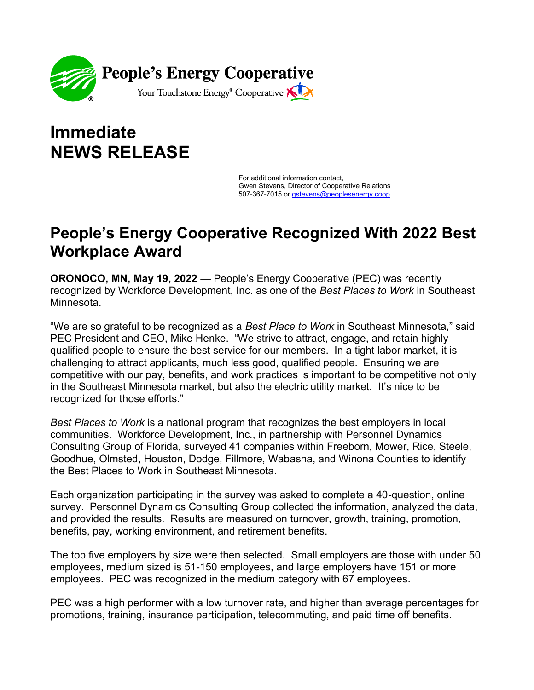

## **Immediate NEWS RELEASE**

For additional information contact, Gwen Stevens, Director of Cooperative Relations 507-367-7015 or [gstevens@peoplesenergy.coop](mailto:gstevens@peoplesenergy.coop)

## **People's Energy Cooperative Recognized With 2022 Best Workplace Award**

**ORONOCO, MN, May 19, 2022** — People's Energy Cooperative (PEC) was recently recognized by Workforce Development, Inc. as one of the *Best Places to Work* in Southeast Minnesota.

"We are so grateful to be recognized as a *Best Place to Work* in Southeast Minnesota," said PEC President and CEO, Mike Henke. "We strive to attract, engage, and retain highly qualified people to ensure the best service for our members. In a tight labor market, it is challenging to attract applicants, much less good, qualified people. Ensuring we are competitive with our pay, benefits, and work practices is important to be competitive not only in the Southeast Minnesota market, but also the electric utility market. It's nice to be recognized for those efforts."

*Best Places to Work* is a national program that recognizes the best employers in local communities. Workforce Development, Inc., in partnership with Personnel Dynamics Consulting Group of Florida, surveyed 41 companies within Freeborn, Mower, Rice, Steele, Goodhue, Olmsted, Houston, Dodge, Fillmore, Wabasha, and Winona Counties to identify the Best Places to Work in Southeast Minnesota.

Each organization participating in the survey was asked to complete a 40-question, online survey. Personnel Dynamics Consulting Group collected the information, analyzed the data, and provided the results. Results are measured on turnover, growth, training, promotion, benefits, pay, working environment, and retirement benefits.

The top five employers by size were then selected. Small employers are those with under 50 employees, medium sized is 51-150 employees, and large employers have 151 or more employees. PEC was recognized in the medium category with 67 employees.

PEC was a high performer with a low turnover rate, and higher than average percentages for promotions, training, insurance participation, telecommuting, and paid time off benefits.